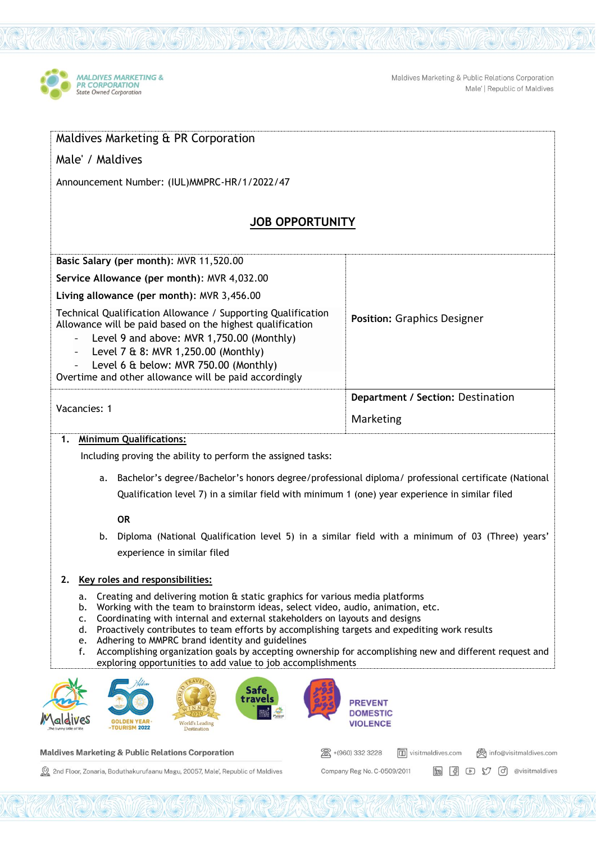

Maldives Marketing & Public Relations Corporation Male' | Republic of Maldives

| Male' / Maldives                                                                                                                                                                                                                                                                                                                                                                                                                                                                                                                                                                                                |                                                                         |
|-----------------------------------------------------------------------------------------------------------------------------------------------------------------------------------------------------------------------------------------------------------------------------------------------------------------------------------------------------------------------------------------------------------------------------------------------------------------------------------------------------------------------------------------------------------------------------------------------------------------|-------------------------------------------------------------------------|
| Announcement Number: (IUL) MMPRC-HR/1/2022/47                                                                                                                                                                                                                                                                                                                                                                                                                                                                                                                                                                   |                                                                         |
| <b>JOB OPPORTUNITY</b>                                                                                                                                                                                                                                                                                                                                                                                                                                                                                                                                                                                          |                                                                         |
| Basic Salary (per month): MVR 11,520.00                                                                                                                                                                                                                                                                                                                                                                                                                                                                                                                                                                         |                                                                         |
| Service Allowance (per month): MVR 4,032.00                                                                                                                                                                                                                                                                                                                                                                                                                                                                                                                                                                     |                                                                         |
| Living allowance (per month): MVR 3,456.00                                                                                                                                                                                                                                                                                                                                                                                                                                                                                                                                                                      |                                                                         |
| Technical Qualification Allowance / Supporting Qualification<br>Allowance will be paid based on the highest qualification<br>Level 9 and above: MVR 1,750.00 (Monthly)<br>$\overline{\phantom{a}}$<br>Level 7 & 8: MVR 1,250.00 (Monthly)<br>$\blacksquare$<br>Level 6 & below: MVR 750.00 (Monthly)<br>Overtime and other allowance will be paid accordingly                                                                                                                                                                                                                                                   | <b>Position: Graphics Designer</b>                                      |
|                                                                                                                                                                                                                                                                                                                                                                                                                                                                                                                                                                                                                 | Department / Section: Destination                                       |
| Vacancies: 1                                                                                                                                                                                                                                                                                                                                                                                                                                                                                                                                                                                                    | Marketing                                                               |
| <b>Minimum Qualifications:</b><br>1.                                                                                                                                                                                                                                                                                                                                                                                                                                                                                                                                                                            |                                                                         |
| Including proving the ability to perform the assigned tasks:                                                                                                                                                                                                                                                                                                                                                                                                                                                                                                                                                    |                                                                         |
| a. Bachelor's degree/Bachelor's honors degree/professional diploma/ professional certificate (National                                                                                                                                                                                                                                                                                                                                                                                                                                                                                                          |                                                                         |
| Qualification level 7) in a similar field with minimum 1 (one) year experience in similar filed                                                                                                                                                                                                                                                                                                                                                                                                                                                                                                                 |                                                                         |
| <b>OR</b>                                                                                                                                                                                                                                                                                                                                                                                                                                                                                                                                                                                                       |                                                                         |
| b. Diploma (National Qualification level 5) in a similar field with a minimum of 03 (Three) years'                                                                                                                                                                                                                                                                                                                                                                                                                                                                                                              |                                                                         |
| experience in similar filed                                                                                                                                                                                                                                                                                                                                                                                                                                                                                                                                                                                     |                                                                         |
| Key roles and responsibilities:<br>2.                                                                                                                                                                                                                                                                                                                                                                                                                                                                                                                                                                           |                                                                         |
| Creating and delivering motion & static graphics for various media platforms<br>a.<br>Working with the team to brainstorm ideas, select video, audio, animation, etc.<br>b.<br>Coordinating with internal and external stakeholders on layouts and designs<br>c.<br>d.<br>Proactively contributes to team efforts by accomplishing targets and expediting work results<br>Adhering to MMPRC brand identity and guidelines<br>e.<br>Accomplishing organization goals by accepting ownership for accomplishing new and different request and<br>f.<br>exploring opportunities to add value to job accomplishments |                                                                         |
| <b>Safe</b><br>travels                                                                                                                                                                                                                                                                                                                                                                                                                                                                                                                                                                                          | <b>PREVENT</b><br><b>DOMESTIC</b>                                       |
| <b>World's Leading</b><br><b>IURISM 2022</b><br>Destination                                                                                                                                                                                                                                                                                                                                                                                                                                                                                                                                                     | <b>VIOLENCE</b>                                                         |
| <b>Maldives Marketing &amp; Public Relations Corporation</b>                                                                                                                                                                                                                                                                                                                                                                                                                                                                                                                                                    | +(960) 332 3228<br><b>1</b> visitmaldives.com<br>info@visitmaldives.com |